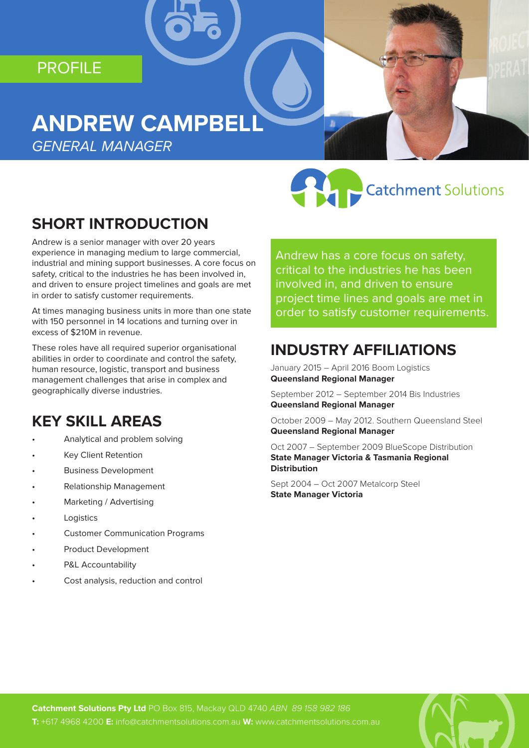# PROFILE

# **ANDREW CAMPBELL**

*GENERAL MANAGER*



# **SHORT INTRODUCTION**

Andrew is a senior manager with over 20 years experience in managing medium to large commercial, industrial and mining support businesses. A core focus on safety, critical to the industries he has been involved in, and driven to ensure project timelines and goals are met in order to satisfy customer requirements.

At times managing business units in more than one state with 150 personnel in 14 locations and turning over in excess of \$210M in revenue.

These roles have all required superior organisational abilities in order to coordinate and control the safety, human resource, logistic, transport and business management challenges that arise in complex and geographically diverse industries.

# **KEY SKILL AREAS**

- Analytical and problem solving
- **Key Client Retention**
- Business Development
- Relationship Management
- Marketing / Advertising
- **Logistics**
- Customer Communication Programs
- Product Development
- P&L Accountability
- Cost analysis, reduction and control

Andrew has a core focus on safety, critical to the industries he has been involved in, and driven to ensure project time lines and goals are met in order to satisfy customer requirements.

# **INDUSTRY AFFILIATIONS**

January 2015 – April 2016 Boom Logistics **Queensland Regional Manager**

September 2012 – September 2014 Bis Industries **Queensland Regional Manager**

October 2009 – May 2012. Southern Queensland Steel **Queensland Regional Manager**

Oct 2007 – September 2009 BlueScope Distribution **State Manager Victoria & Tasmania Regional Distribution**

Sept 2004 – Oct 2007 Metalcorp Steel **State Manager Victoria**